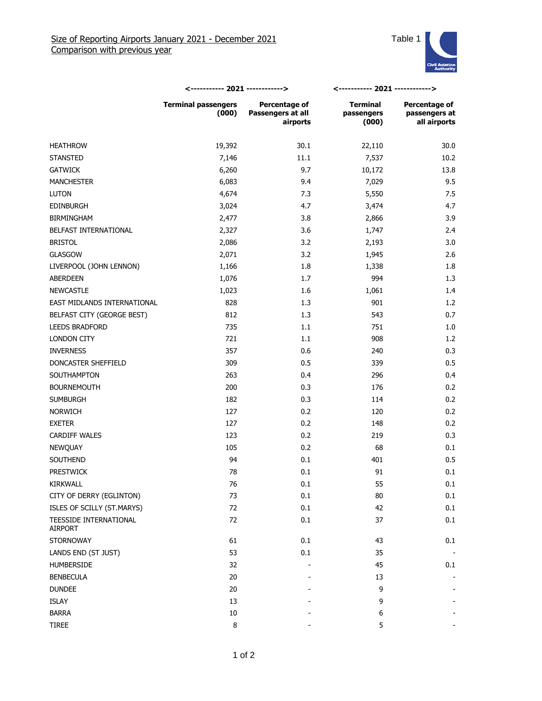

|                                   | <----------- 2021 ------------>     |                                                       | <----------- 2021 ------------>        |                                                |
|-----------------------------------|-------------------------------------|-------------------------------------------------------|----------------------------------------|------------------------------------------------|
|                                   | <b>Terminal passengers</b><br>(000) | <b>Percentage of</b><br>Passengers at all<br>airports | <b>Terminal</b><br>passengers<br>(000) | Percentage of<br>passengers at<br>all airports |
| <b>HEATHROW</b>                   | 19,392                              | 30.1                                                  | 22,110                                 | 30.0                                           |
| <b>STANSTED</b>                   | 7,146                               | $11.1\,$                                              | 7,537                                  | 10.2                                           |
| <b>GATWICK</b>                    | 6,260                               | 9.7                                                   | 10,172                                 | 13.8                                           |
| <b>MANCHESTER</b>                 | 6,083                               | 9.4                                                   | 7,029                                  | 9.5                                            |
| <b>LUTON</b>                      | 4,674                               | 7.3                                                   | 5,550                                  | 7.5                                            |
| <b>EDINBURGH</b>                  | 3,024                               | 4.7                                                   | 3,474                                  | 4.7                                            |
| <b>BIRMINGHAM</b>                 | 2,477                               | 3.8                                                   | 2,866                                  | 3.9                                            |
| BELFAST INTERNATIONAL             | 2,327                               | 3.6                                                   | 1,747                                  | 2.4                                            |
| <b>BRISTOL</b>                    | 2,086                               | 3.2                                                   | 2,193                                  | 3.0                                            |
| GLASGOW                           | 2,071                               | 3.2                                                   | 1,945                                  | 2.6                                            |
| LIVERPOOL (JOHN LENNON)           | 1,166                               | 1.8                                                   | 1,338                                  | 1.8                                            |
| ABERDEEN                          | 1,076                               | 1.7                                                   | 994                                    | 1.3                                            |
| <b>NEWCASTLE</b>                  | 1,023                               | 1.6                                                   | 1,061                                  | 1.4                                            |
| EAST MIDLANDS INTERNATIONAL       | 828                                 | 1.3                                                   | 901                                    | 1.2                                            |
| BELFAST CITY (GEORGE BEST)        | 812                                 | 1.3                                                   | 543                                    | 0.7                                            |
| LEEDS BRADFORD                    | 735                                 | 1.1                                                   | 751                                    | 1.0                                            |
| LONDON CITY                       | 721                                 | 1.1                                                   | 908                                    | 1.2                                            |
| <b>INVERNESS</b>                  | 357                                 | 0.6                                                   | 240                                    | 0.3                                            |
| DONCASTER SHEFFIELD               | 309                                 | 0.5                                                   | 339                                    | 0.5                                            |
| SOUTHAMPTON                       | 263                                 | 0.4                                                   | 296                                    | 0.4                                            |
| <b>BOURNEMOUTH</b>                | 200                                 | 0.3                                                   | 176                                    | 0.2                                            |
| <b>SUMBURGH</b>                   | 182                                 | 0.3                                                   | 114                                    | 0.2                                            |
| <b>NORWICH</b>                    | 127                                 | 0.2                                                   | 120                                    | 0.2                                            |
| <b>EXETER</b>                     | 127                                 | 0.2                                                   | 148                                    | 0.2                                            |
| <b>CARDIFF WALES</b>              | 123                                 | 0.2                                                   | 219                                    | 0.3                                            |
| NEWQUAY                           | 105                                 | 0.2                                                   | 68                                     | 0.1                                            |
| SOUTHEND                          | 94                                  | 0.1                                                   | 401                                    | 0.5                                            |
| <b>PRESTWICK</b>                  | 78                                  | $0.1\,$                                               | 91                                     | 0.1                                            |
| KIRKWALL                          | 76                                  | $0.1\,$                                               | 55                                     | 0.1                                            |
| CITY OF DERRY (EGLINTON)          | 73                                  | 0.1                                                   | 80                                     | 0.1                                            |
| ISLES OF SCILLY (ST.MARYS)        | 72                                  | 0.1                                                   | 42                                     | 0.1                                            |
| TEESSIDE INTERNATIONAL<br>AIRPORT | 72                                  | $0.1\,$                                               | 37                                     | 0.1                                            |
| <b>STORNOWAY</b>                  | 61                                  | 0.1                                                   | 43                                     | 0.1                                            |
| LANDS END (ST JUST)               | 53                                  | 0.1                                                   | 35                                     |                                                |
| HUMBERSIDE                        | 32                                  |                                                       | 45                                     | 0.1                                            |
| <b>BENBECULA</b>                  | 20                                  |                                                       | 13                                     |                                                |
| <b>DUNDEE</b>                     | 20                                  |                                                       | 9                                      |                                                |
| ISLAY                             | 13                                  |                                                       | 9                                      |                                                |
| <b>BARRA</b>                      | 10                                  |                                                       | 6                                      |                                                |
| <b>TIREE</b>                      | 8                                   |                                                       | 5                                      |                                                |